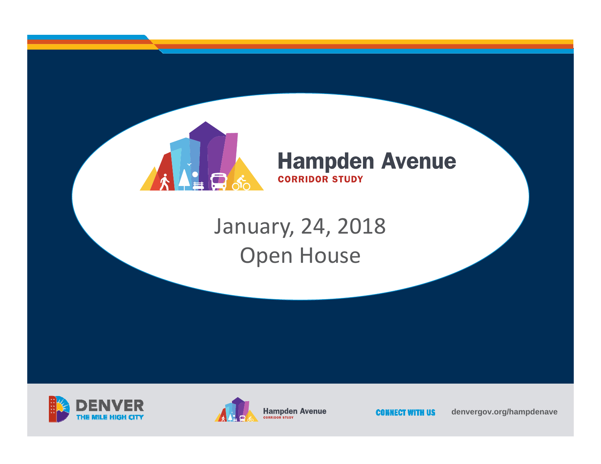

#### **Hampden Avenue CORRIDOR STUDY**

## January, 24, 2018 Open House





**CONNECT WITH US** 

**denvergov.org/hampdenave**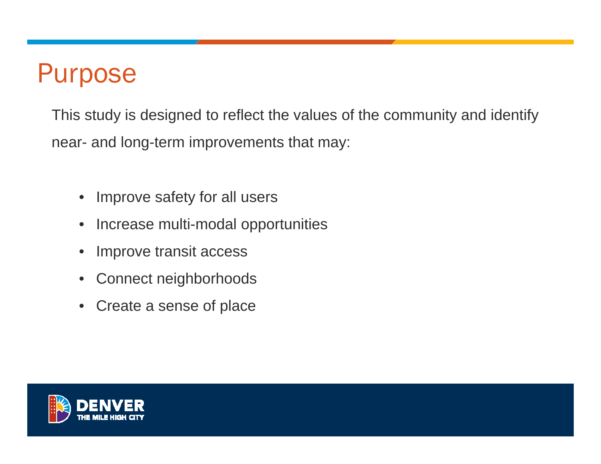# Purpose

This study is designed to reflect the values of the community and identify near- and long-term improvements that may:

- $\bullet$ Improve safety for all users
- •Increase multi-modal opportunities
- •Improve transit access
- •Connect neighborhoods
- •Create a sense of place

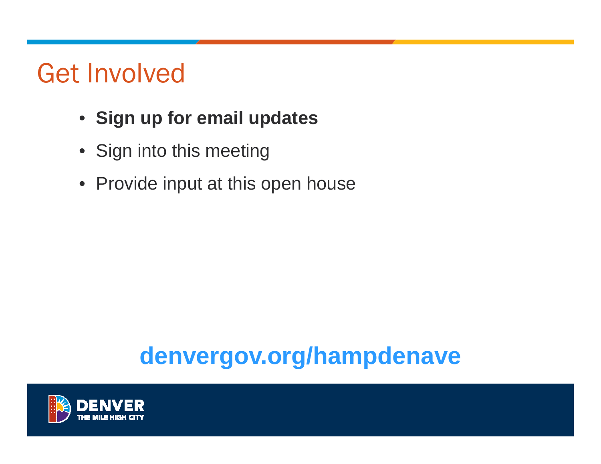# Get Involved

- **Sign up for email updates**
- Sign into this meeting
- Provide input at this open house

# **denvergov.org/hampdenave**

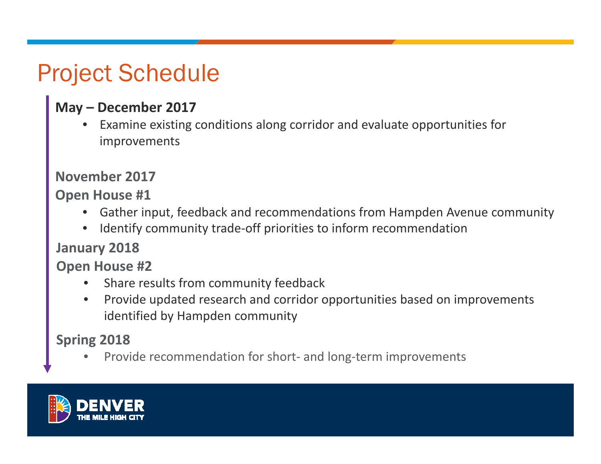# Project Schedule

#### **May – December 2017**

• Examine existing conditions along corridor and evaluate opportunities for improvements

#### **November 2017**

**Open House #1**

- $\bullet$ Gather input, feedback and recommendations from Hampden Avenue community
- $\bullet$ Identify community trade‐off priorities to inform recommendation

#### **January 2018**

**Open House #2**

- •• Share results from community feedback
- $\bullet$ • Provide updated research and corridor opportunities based on improvements identified by Hampden community

**Spring 2018**

•● Provide recommendation for short- and long-term improvements

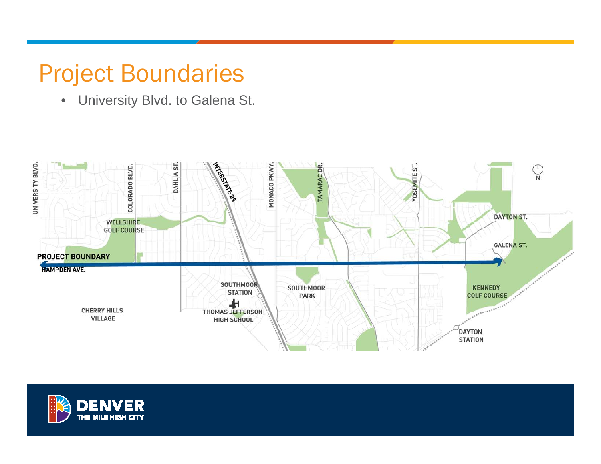## Project Boundaries

• University Blvd. to Galena St.



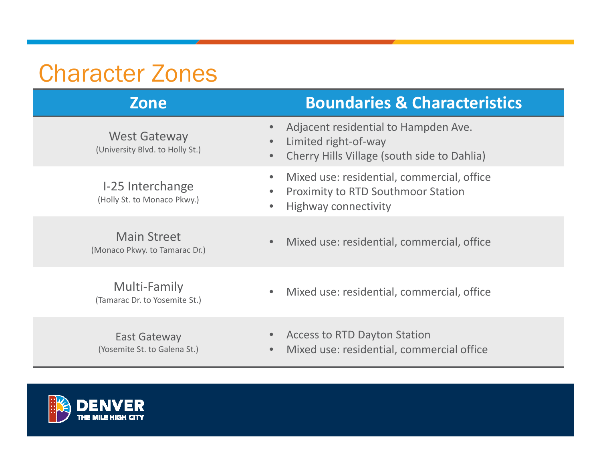### Character Zones

| <b>Zone</b>                                            | <b>Boundaries &amp; Characteristics</b>                                                                                  |
|--------------------------------------------------------|--------------------------------------------------------------------------------------------------------------------------|
| <b>West Gateway</b><br>(University Blvd. to Holly St.) | Adjacent residential to Hampden Ave.<br>Limited right-of-way<br>Cherry Hills Village (south side to Dahlia)<br>$\bullet$ |
| I-25 Interchange<br>(Holly St. to Monaco Pkwy.)        | Mixed use: residential, commercial, office<br><b>Proximity to RTD Southmoor Station</b><br><b>Highway connectivity</b>   |
| <b>Main Street</b><br>(Monaco Pkwy. to Tamarac Dr.)    | Mixed use: residential, commercial, office                                                                               |
| Multi-Family<br>(Tamarac Dr. to Yosemite St.)          | Mixed use: residential, commercial, office                                                                               |
| East Gateway<br>(Yosemite St. to Galena St.)           | <b>Access to RTD Dayton Station</b><br>Mixed use: residential, commercial office                                         |

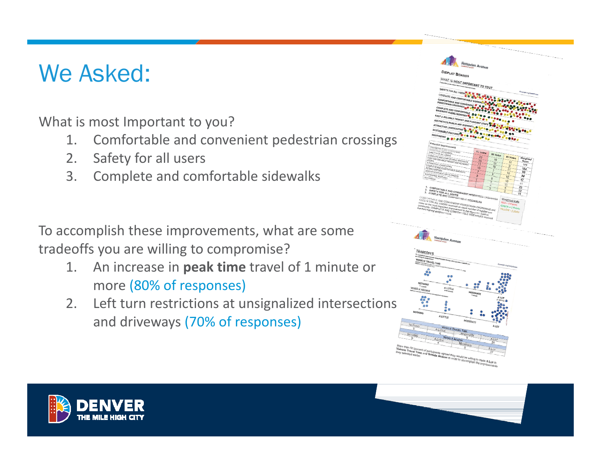### We Asked:

What is most Important to you?

- 1. Comfortable and convenient pedestrian crossings
- 2. Safety for all users
- 3. Complete and comfortable sidewalks

To accomplish these improvements, what are some tradeoffs you are willing to compromise?

- $1.$  increase in **peak time** travel of 1 minute or more (80% of responses)
- 2. Left turn restrictions at unsignalized intersections and driveways (70% of responses)





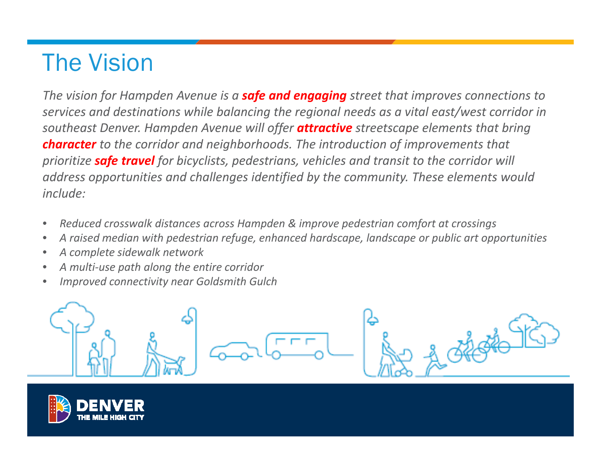## The Vision

*The vision for Hampden Avenue is <sup>a</sup> safe and engaging street that improves connections to services and destinations while balancing the regional needs as <sup>a</sup> vital east/west corridor in southeast Denver. Hampden Avenue will offer attractive streetscape elements that bring character to the corridor and neighborhoods. The introduction of improvements that prioritize safe travel for bicyclists, pedestrians, vehicles and transit to the corridor will address opportunities and challenges identified by the community. These elements would include:*

- $\bullet$ *Reduced crosswalk distances across Hampden & improve pedestrian comfort at crossings*
- $\bullet$ *A raised median with pedestrian refuge, enhanced hardscape, landscape or public art opportunities*
- $\bullet$ *A complete sidewalk network*
- •*A multi‐use path along the entire corridor*
- •*Improved connectivity near Goldsmith Gulch*